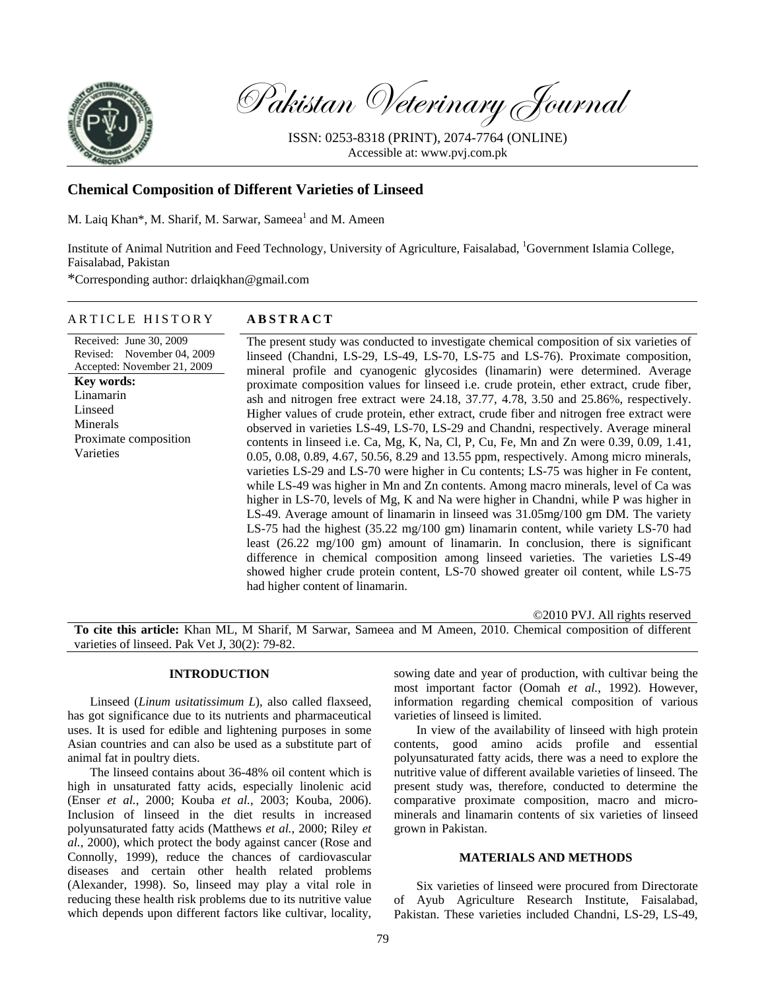

Pakistan Veterinary Journal

ISSN: 0253-8318 (PRINT), 2074-7764 (ONLINE) Accessible at: www.pvj.com.pk

# **Chemical Composition of Different Varieties of Linseed**

M. Laiq Khan\*, M. Sharif, M. Sarwar, Sameea<sup>1</sup> and M. Ameen

Institute of Animal Nutrition and Feed Technology, University of Agriculture, Faisalabad, <sup>1</sup>Government Islamia College, Faisalabad, Pakistan

\*Corresponding author: drlaiqkhan@gmail.com

## ARTICLE HISTORY **ABSTRACT**

Received: June 30, 2009 Revised: November 04, 2009 Accepted: November 21, 2009 **Key words:**  Linamarin Linseed Minerals Proximate composition Varieties

The present study was conducted to investigate chemical composition of six varieties of linseed (Chandni, LS-29, LS-49, LS-70, LS-75 and LS-76). Proximate composition, mineral profile and cyanogenic glycosides (linamarin) were determined. Average proximate composition values for linseed i.e. crude protein, ether extract, crude fiber, ash and nitrogen free extract were 24.18, 37.77, 4.78, 3.50 and 25.86%, respectively. Higher values of crude protein, ether extract, crude fiber and nitrogen free extract were observed in varieties LS-49, LS-70, LS-29 and Chandni, respectively. Average mineral contents in linseed i.e. Ca, Mg, K, Na, Cl, P, Cu, Fe, Mn and Zn were 0.39, 0.09, 1.41, 0.05, 0.08, 0.89, 4.67, 50.56, 8.29 and 13.55 ppm, respectively. Among micro minerals, varieties LS-29 and LS-70 were higher in Cu contents; LS-75 was higher in Fe content, while LS-49 was higher in Mn and Zn contents. Among macro minerals, level of Ca was higher in LS-70, levels of Mg, K and Na were higher in Chandni, while P was higher in LS-49. Average amount of linamarin in linseed was 31.05mg/100 gm DM. The variety LS-75 had the highest (35.22 mg/100 gm) linamarin content, while variety LS-70 had least (26.22 mg/100 gm) amount of linamarin. In conclusion, there is significant difference in chemical composition among linseed varieties. The varieties LS-49 showed higher crude protein content, LS-70 showed greater oil content, while LS-75 had higher content of linamarin.

©2010 PVJ. All rights reserved

**To cite this article:** Khan ML, M Sharif, M Sarwar, Sameea and M Ameen, 2010. Chemical composition of different varieties of linseed. Pak Vet J, 30(2): 79-82.

### **INTRODUCTION**

Linseed (*Linum usitatissimum L*), also called flaxseed, has got significance due to its nutrients and pharmaceutical uses. It is used for edible and lightening purposes in some Asian countries and can also be used as a substitute part of animal fat in poultry diets.

The linseed contains about 36-48% oil content which is high in unsaturated fatty acids, especially linolenic acid (Enser *et al.*, 2000; Kouba *et al.*, 2003; Kouba, 2006). Inclusion of linseed in the diet results in increased polyunsaturated fatty acids (Matthews *et al.*, 2000; Riley *et al.*, 2000), which protect the body against cancer (Rose and Connolly, 1999), reduce the chances of cardiovascular diseases and certain other health related problems (Alexander, 1998). So, linseed may play a vital role in reducing these health risk problems due to its nutritive value which depends upon different factors like cultivar, locality,

sowing date and year of production, with cultivar being the most important factor (Oomah *et al.*, 1992). However, information regarding chemical composition of various varieties of linseed is limited.

In view of the availability of linseed with high protein contents, good amino acids profile and essential polyunsaturated fatty acids, there was a need to explore the nutritive value of different available varieties of linseed. The present study was, therefore, conducted to determine the comparative proximate composition, macro and microminerals and linamarin contents of six varieties of linseed grown in Pakistan.

## **MATERIALS AND METHODS**

Six varieties of linseed were procured from Directorate of Ayub Agriculture Research Institute, Faisalabad, Pakistan. These varieties included Chandni, LS-29, LS-49,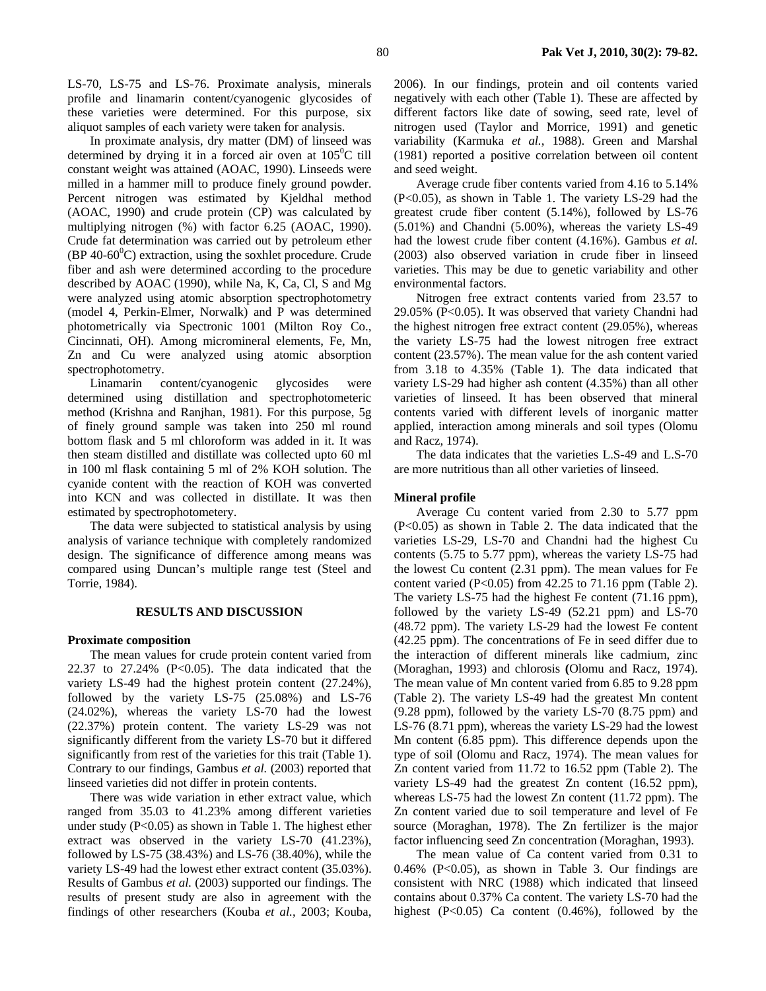LS-70, LS-75 and LS-76. Proximate analysis, minerals profile and linamarin content/cyanogenic glycosides of these varieties were determined. For this purpose, six aliquot samples of each variety were taken for analysis.

In proximate analysis, dry matter (DM) of linseed was determined by drying it in a forced air oven at  $105^{\circ}$ C till constant weight was attained (AOAC, 1990). Linseeds were milled in a hammer mill to produce finely ground powder. Percent nitrogen was estimated by Kjeldhal method (AOAC, 1990) and crude protein (CP) was calculated by multiplying nitrogen (%) with factor 6.25 (AOAC, 1990). Crude fat determination was carried out by petroleum ether  $(BP 40-60^{\circ}C)$  extraction, using the soxhlet procedure. Crude fiber and ash were determined according to the procedure described by AOAC (1990), while Na, K, Ca, Cl, S and Mg were analyzed using atomic absorption spectrophotometry (model 4, Perkin-Elmer, Norwalk) and P was determined photometrically via Spectronic 1001 (Milton Roy Co., Cincinnati, OH). Among micromineral elements, Fe, Mn, Zn and Cu were analyzed using atomic absorption spectrophotometry.

Linamarin content/cyanogenic glycosides were determined using distillation and spectrophotometeric method (Krishna and Ranjhan, 1981). For this purpose, 5g of finely ground sample was taken into 250 ml round bottom flask and 5 ml chloroform was added in it. It was then steam distilled and distillate was collected upto 60 ml in 100 ml flask containing 5 ml of 2% KOH solution. The cyanide content with the reaction of KOH was converted into KCN and was collected in distillate. It was then estimated by spectrophotometery.

The data were subjected to statistical analysis by using analysis of variance technique with completely randomized design. The significance of difference among means was compared using Duncan's multiple range test (Steel and Torrie, 1984).

### **RESULTS AND DISCUSSION**

#### **Proximate composition**

The mean values for crude protein content varied from 22.37 to  $27.24\%$  (P<0.05). The data indicated that the variety LS-49 had the highest protein content (27.24%), followed by the variety LS-75 (25.08%) and LS-76 (24.02%), whereas the variety LS-70 had the lowest (22.37%) protein content. The variety LS-29 was not significantly different from the variety LS-70 but it differed significantly from rest of the varieties for this trait (Table 1). Contrary to our findings, Gambus *et al.* (2003) reported that linseed varieties did not differ in protein contents.

There was wide variation in ether extract value, which ranged from 35.03 to 41.23% among different varieties under study  $(P<0.05)$  as shown in Table 1. The highest ether extract was observed in the variety LS-70 (41.23%), followed by LS-75 (38.43%) and LS-76 (38.40%), while the variety LS-49 had the lowest ether extract content (35.03%). Results of Gambus *et al.* (2003) supported our findings. The results of present study are also in agreement with the findings of other researchers (Kouba *et al.*, 2003; Kouba, 2006). In our findings, protein and oil contents varied negatively with each other (Table 1). These are affected by different factors like date of sowing, seed rate, level of nitrogen used (Taylor and Morrice, 1991) and genetic variability (Karmuka *et al.*, 1988). Green and Marshal (1981) reported a positive correlation between oil content and seed weight.

Average crude fiber contents varied from 4.16 to 5.14% (P<0.05), as shown in Table 1. The variety LS-29 had the greatest crude fiber content (5.14%), followed by LS-76 (5.01%) and Chandni (5.00%), whereas the variety LS-49 had the lowest crude fiber content (4.16%). Gambus *et al.* (2003) also observed variation in crude fiber in linseed varieties. This may be due to genetic variability and other environmental factors.

Nitrogen free extract contents varied from 23.57 to 29.05% (P<0.05). It was observed that variety Chandni had the highest nitrogen free extract content (29.05%), whereas the variety LS-75 had the lowest nitrogen free extract content (23.57%). The mean value for the ash content varied from 3.18 to 4.35% (Table 1). The data indicated that variety LS-29 had higher ash content (4.35%) than all other varieties of linseed. It has been observed that mineral contents varied with different levels of inorganic matter applied, interaction among minerals and soil types (Olomu and Racz, 1974).

The data indicates that the varieties L.S-49 and L.S-70 are more nutritious than all other varieties of linseed.

#### **Mineral profile**

Average Cu content varied from 2.30 to 5.77 ppm (P<0.05) as shown in Table 2. The data indicated that the varieties LS-29, LS-70 and Chandni had the highest Cu contents (5.75 to 5.77 ppm), whereas the variety LS-75 had the lowest Cu content (2.31 ppm). The mean values for Fe content varied (P<0.05) from 42.25 to 71.16 ppm (Table 2). The variety LS-75 had the highest Fe content (71.16 ppm), followed by the variety LS-49 (52.21 ppm) and LS-70 (48.72 ppm). The variety LS-29 had the lowest Fe content (42.25 ppm). The concentrations of Fe in seed differ due to the interaction of different minerals like cadmium, zinc (Moraghan, 1993) and chlorosis **(**Olomu and Racz, 1974). The mean value of Mn content varied from 6.85 to 9.28 ppm (Table 2). The variety LS-49 had the greatest Mn content (9.28 ppm), followed by the variety LS-70 (8.75 ppm) and LS-76 (8.71 ppm), whereas the variety LS-29 had the lowest Mn content (6.85 ppm). This difference depends upon the type of soil (Olomu and Racz, 1974). The mean values for Zn content varied from 11.72 to 16.52 ppm (Table 2). The variety LS-49 had the greatest Zn content (16.52 ppm), whereas LS-75 had the lowest Zn content (11.72 ppm). The Zn content varied due to soil temperature and level of Fe source (Moraghan, 1978). The Zn fertilizer is the major factor influencing seed Zn concentration (Moraghan, 1993).

The mean value of Ca content varied from 0.31 to  $0.46\%$  (P<0.05), as shown in Table 3. Our findings are consistent with NRC (1988) which indicated that linseed contains about 0.37% Ca content. The variety LS-70 had the highest (P<0.05) Ca content (0.46%), followed by the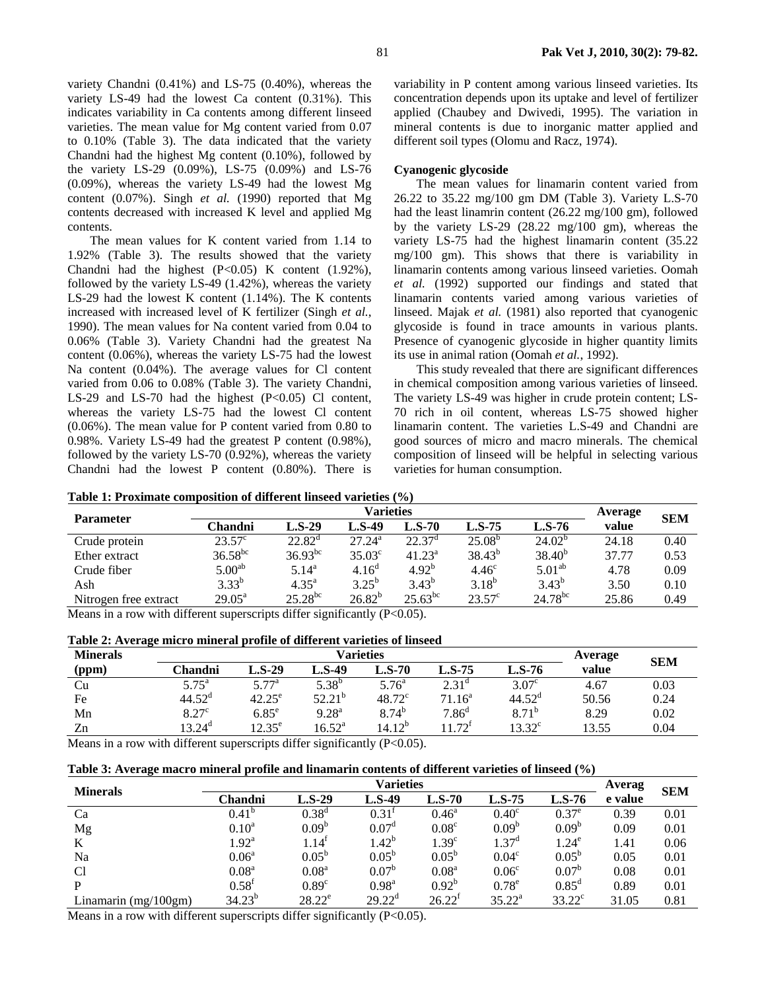variety Chandni (0.41%) and LS-75 (0.40%), whereas the variety LS-49 had the lowest Ca content (0.31%). This indicates variability in Ca contents among different linseed varieties. The mean value for Mg content varied from 0.07 to 0.10% (Table 3). The data indicated that the variety Chandni had the highest Mg content (0.10%), followed by the variety LS-29 (0.09%), LS-75 (0.09%) and LS-76 (0.09%), whereas the variety LS-49 had the lowest Mg content (0.07%). Singh *et al.* (1990) reported that Mg contents decreased with increased K level and applied Mg contents.

The mean values for K content varied from 1.14 to 1.92% (Table 3). The results showed that the variety Chandni had the highest  $(P<0.05)$  K content  $(1.92\%)$ , followed by the variety LS-49 (1.42%), whereas the variety LS-29 had the lowest K content (1.14%). The K contents increased with increased level of K fertilizer (Singh *et al.*, 1990). The mean values for Na content varied from 0.04 to 0.06% (Table 3). Variety Chandni had the greatest Na content (0.06%), whereas the variety LS-75 had the lowest Na content (0.04%). The average values for Cl content varied from 0.06 to 0.08% (Table 3). The variety Chandni, LS-29 and LS-70 had the highest  $(P<0.05)$  Cl content, whereas the variety LS-75 had the lowest Cl content (0.06%). The mean value for P content varied from 0.80 to 0.98%. Variety LS-49 had the greatest P content (0.98%), followed by the variety LS-70 (0.92%), whereas the variety Chandni had the lowest P content (0.80%). There is

variability in P content among various linseed varieties. Its concentration depends upon its uptake and level of fertilizer applied (Chaubey and Dwivedi, 1995). The variation in mineral contents is due to inorganic matter applied and different soil types (Olomu and Racz, 1974).

## **Cyanogenic glycoside**

The mean values for linamarin content varied from 26.22 to 35.22 mg/100 gm DM (Table 3). Variety L.S-70 had the least linamrin content (26.22 mg/100 gm), followed by the variety LS-29 (28.22 mg/100 gm), whereas the variety LS-75 had the highest linamarin content (35.22 mg/100 gm). This shows that there is variability in linamarin contents among various linseed varieties. Oomah *et al.* (1992) supported our findings and stated that linamarin contents varied among various varieties of linseed. Majak *et al.* (1981) also reported that cyanogenic glycoside is found in trace amounts in various plants. Presence of cyanogenic glycoside in higher quantity limits its use in animal ration (Oomah *et al.*, 1992).

This study revealed that there are significant differences in chemical composition among various varieties of linseed. The variety LS-49 was higher in crude protein content; LS-70 rich in oil content, whereas LS-75 showed higher linamarin content. The varieties L.S-49 and Chandni are good sources of micro and macro minerals. The chemical composition of linseed will be helpful in selecting various varieties for human consumption.

|  | Table 1: Proximate composition of different linseed varieties (%) |
|--|-------------------------------------------------------------------|
|--|-------------------------------------------------------------------|

|                       | Varieties          |                 |                    |                 |                   |                    |       | <b>SEM</b> |
|-----------------------|--------------------|-----------------|--------------------|-----------------|-------------------|--------------------|-------|------------|
| <b>Parameter</b>      | Chandni            | $L.S-29$        | <b>L.S-49</b>      | $L.S-70$        | $L.S-75$          | $L.S-76$           | value |            |
| Crude protein         | $23.57^{\circ}$    | $22.82^{\rm d}$ | $27.24^a$          | $22.37^{\circ}$ | $25.08^{b}$       | $24.02^{b}$        | 24.18 | 0.40       |
| Ether extract         | $36.58^{bc}$       | $36.93^{bc}$    | 35.03 <sup>c</sup> | $41.23^a$       | $38.43^{b}$       | $38.40^{b}$        | 37.77 | 0.53       |
| Crude fiber           | 5.00 <sup>ab</sup> | $5.14^{\rm a}$  | 4.16 <sup>d</sup>  | $4.92^{b}$      | 4.46 <sup>c</sup> | 5.01 <sup>ab</sup> | 4.78  | 0.09       |
| Ash                   | $3.33^{b}$         | $4.35^{a}$      | $3.25^{b}$         | $3.43^{b}$      | $3.18^{b}$        | $3.43^{b}$         | 3.50  | 0.10       |
| Nitrogen free extract | $29.05^{\text{a}}$ | $25.28^{bc}$    | $26.82^{b}$        | $25.63^{bc}$    | $23.57^{\circ}$   | $24.78^{bc}$       | 25.86 | 0.49       |

Means in a row with different superscripts differ significantly (P<0.05).

| Table 2: Average micro mineral profile of different varieties of linseed |  |  |  |
|--------------------------------------------------------------------------|--|--|--|
|                                                                          |  |  |  |

| <b>Minerals</b> |                    |                 | <b>Varieties</b> | Average         | <b>SEM</b>        |                   |       |      |
|-----------------|--------------------|-----------------|------------------|-----------------|-------------------|-------------------|-------|------|
| (ppm)           | Chandni            | L.S-29          | L.S-49           | L.S-70          | $L.S-75$          | L.S-76            | value |      |
| Cu              | $5.75^{\circ}$     | $5.77^{\rm a}$  | $5.38^{b}$       | $5.76^{\circ}$  | $2.31^{\circ}$    | 3.07 <sup>c</sup> | 4.67  | 0.03 |
| Fe              | $44.52^{\circ}$    | $42.25^{\circ}$ | $52.21^{b}$      | $48.72^{\circ}$ | $71.16^{\circ}$   | $44.52^{\rm d}$   | 50.56 | 0.24 |
| Mn              | $8.27^{\circ}$     | $6.85^e$        | $9.28^{\rm a}$   | $8.74^{b}$      | 7.86 <sup>d</sup> | $8.71^{b}$        | 8.29  | 0.02 |
| Zn              | 13.24 <sup>d</sup> | $12.35^{\circ}$ | $16.52^{\rm a}$  | $14.12^{b}$     | $11.72^{f}$       | $13.32^{\circ}$   | 13.55 | 0.04 |

Means in a row with different superscripts differ significantly (P<0.05).

| <b>Minerals</b>        | <b>Varieties</b>    |                   |                   |                    |                   |                   |         | <b>SEM</b> |  |
|------------------------|---------------------|-------------------|-------------------|--------------------|-------------------|-------------------|---------|------------|--|
|                        | Chandni             | $L.S-29$          | <b>L.S-49</b>     | $L.S-70$           | $L.S-75$          | $L.S-76$          | e value |            |  |
| Ca                     | $0.41^{\circ}$      | 0.38 <sup>d</sup> | $0.31^{\rm t}$    | $0.46^{\rm a}$     | $0.40^\circ$      | $0.37^e$          | 0.39    | 0.01       |  |
| Mg                     | $0.10^a$            | 0.09 <sup>b</sup> | 0.07 <sup>d</sup> | 0.08 <sup>c</sup>  | 0.09 <sup>b</sup> | 0.09 <sup>b</sup> | 0.09    | 0.01       |  |
| K                      | $1.92^{\mathrm{a}}$ | $1.14^{\text{I}}$ | $1.42^b$          | 1.39 <sup>c</sup>  | 1.37 <sup>d</sup> | $1.24^e$          | 1.41    | 0.06       |  |
| Na                     | $0.06^{\rm a}$      | $0.05^{\rm b}$    | $0.05^{\rm b}$    | $0.05^{\rm b}$     | 0.04 <sup>c</sup> | $0.05^{\rm b}$    | 0.05    | 0.01       |  |
| C <sub>1</sub>         | 0.08 <sup>a</sup>   | 0.08 <sup>a</sup> | 0.07 <sup>b</sup> | 0.08 <sup>a</sup>  | 0.06 <sup>c</sup> | $0.07^{b}$        | 0.08    | 0.01       |  |
| P                      | $0.58^{\text{t}}$   | $0.89^\circ$      | $0.98^{\rm a}$    | $0.92^{b}$         | $0.78^e$          | $0.85^{\text{d}}$ | 0.89    | 0.01       |  |
| Linamarin $(mg/100gm)$ | $34.23^{b}$         | $28.22^e$         | $29.22^{\rm d}$   | 26.22 <sup>f</sup> | $35.22^{\rm a}$   | $33.22^{\circ}$   | 31.05   | 0.81       |  |

Means in a row with different superscripts differ significantly (P<0.05).